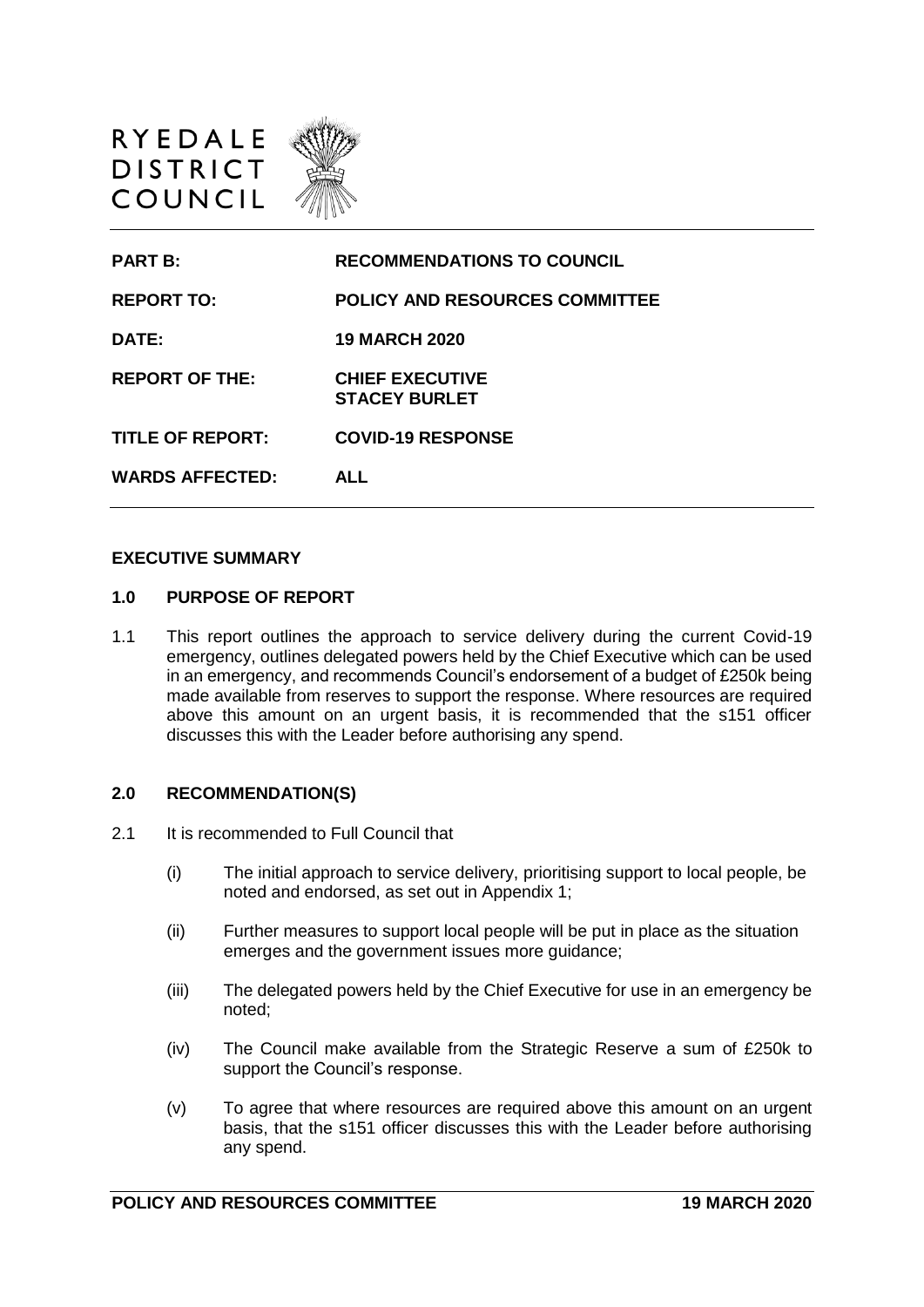



#### **EXECUTIVE SUMMARY**

#### **1.0 PURPOSE OF REPORT**

1.1 This report outlines the approach to service delivery during the current Covid-19 emergency, outlines delegated powers held by the Chief Executive which can be used in an emergency, and recommends Council's endorsement of a budget of £250k being made available from reserves to support the response. Where resources are required above this amount on an urgent basis, it is recommended that the s151 officer discusses this with the Leader before authorising any spend.

#### **2.0 RECOMMENDATION(S)**

- 2.1 It is recommended to Full Council that
	- (i) The initial approach to service delivery, prioritising support to local people, be noted and endorsed, as set out in Appendix 1;
	- (ii) Further measures to support local people will be put in place as the situation emerges and the government issues more guidance;
	- (iii) The delegated powers held by the Chief Executive for use in an emergency be noted;
	- (iv) The Council make available from the Strategic Reserve a sum of £250k to support the Council's response.
	- (v) To agree that where resources are required above this amount on an urgent basis, that the s151 officer discusses this with the Leader before authorising any spend.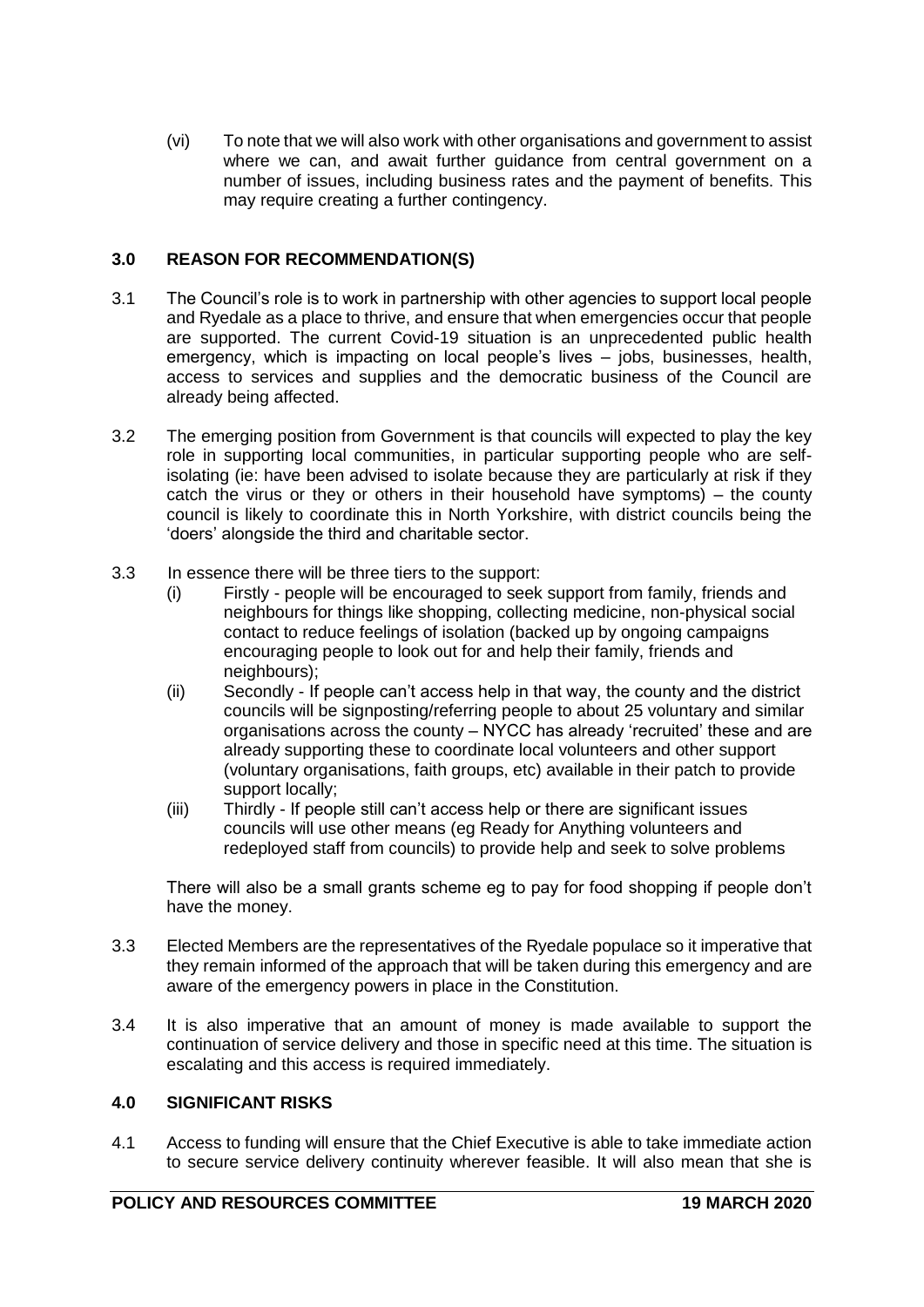(vi) To note that we will also work with other organisations and government to assist where we can, and await further guidance from central government on a number of issues, including business rates and the payment of benefits. This may require creating a further contingency.

## **3.0 REASON FOR RECOMMENDATION(S)**

- 3.1 The Council's role is to work in partnership with other agencies to support local people and Ryedale as a place to thrive, and ensure that when emergencies occur that people are supported. The current Covid-19 situation is an unprecedented public health emergency, which is impacting on local people's lives – jobs, businesses, health, access to services and supplies and the democratic business of the Council are already being affected.
- 3.2 The emerging position from Government is that councils will expected to play the key role in supporting local communities, in particular supporting people who are selfisolating (ie: have been advised to isolate because they are particularly at risk if they catch the virus or they or others in their household have symptoms) – the county council is likely to coordinate this in North Yorkshire, with district councils being the 'doers' alongside the third and charitable sector.
- 3.3 In essence there will be three tiers to the support:
	- (i) Firstly people will be encouraged to seek support from family, friends and neighbours for things like shopping, collecting medicine, non-physical social contact to reduce feelings of isolation (backed up by ongoing campaigns encouraging people to look out for and help their family, friends and neighbours);
	- (ii) Secondly If people can't access help in that way, the county and the district councils will be signposting/referring people to about 25 voluntary and similar organisations across the county – NYCC has already 'recruited' these and are already supporting these to coordinate local volunteers and other support (voluntary organisations, faith groups, etc) available in their patch to provide support locally;
	- (iii) Thirdly If people still can't access help or there are significant issues councils will use other means (eg Ready for Anything volunteers and redeployed staff from councils) to provide help and seek to solve problems

There will also be a small grants scheme eg to pay for food shopping if people don't have the money.

- 3.3 Elected Members are the representatives of the Ryedale populace so it imperative that they remain informed of the approach that will be taken during this emergency and are aware of the emergency powers in place in the Constitution.
- 3.4 It is also imperative that an amount of money is made available to support the continuation of service delivery and those in specific need at this time. The situation is escalating and this access is required immediately.

### **4.0 SIGNIFICANT RISKS**

4.1 Access to funding will ensure that the Chief Executive is able to take immediate action to secure service delivery continuity wherever feasible. It will also mean that she is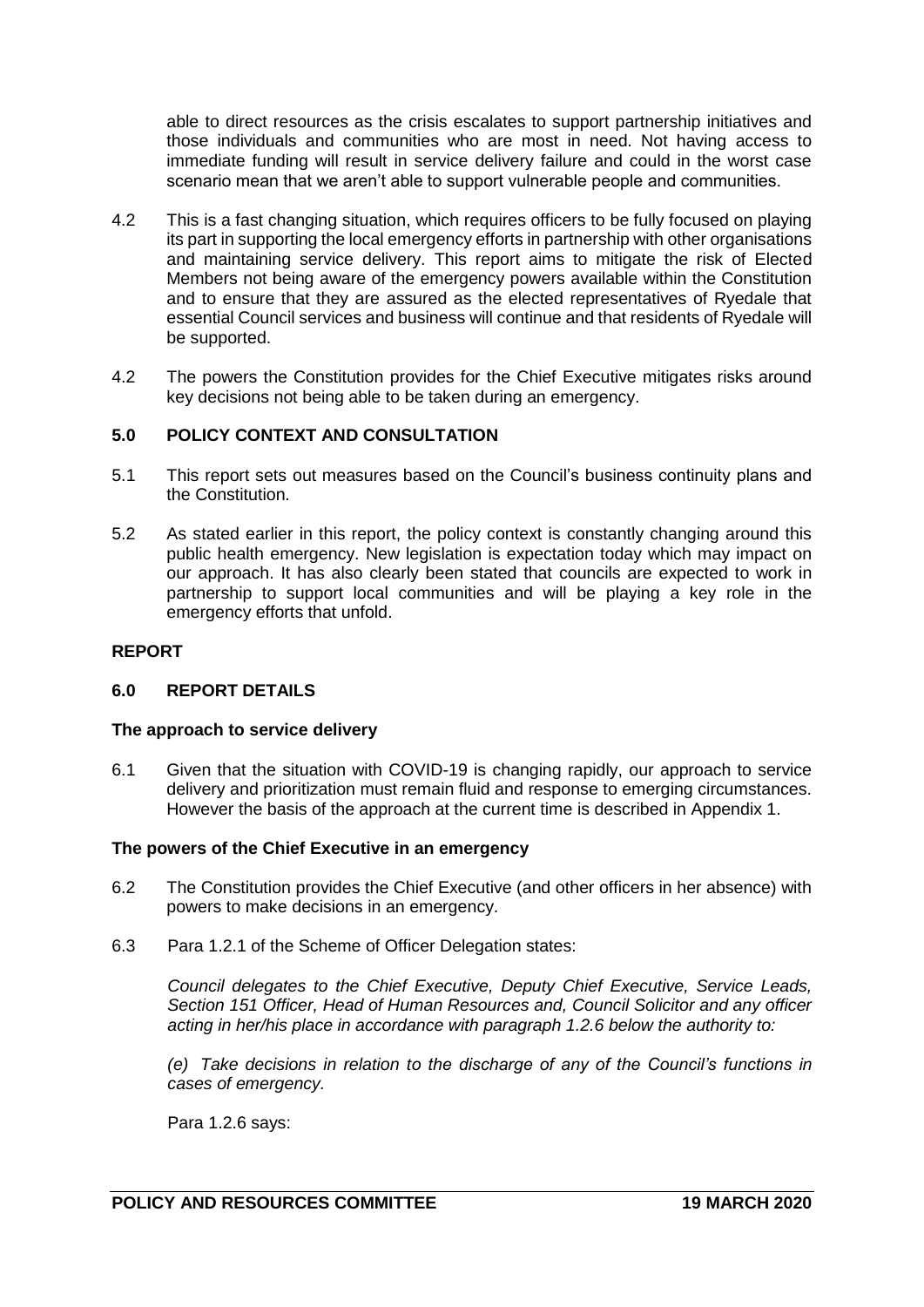able to direct resources as the crisis escalates to support partnership initiatives and those individuals and communities who are most in need. Not having access to immediate funding will result in service delivery failure and could in the worst case scenario mean that we aren't able to support vulnerable people and communities.

- 4.2 This is a fast changing situation, which requires officers to be fully focused on playing its part in supporting the local emergency efforts in partnership with other organisations and maintaining service delivery. This report aims to mitigate the risk of Elected Members not being aware of the emergency powers available within the Constitution and to ensure that they are assured as the elected representatives of Ryedale that essential Council services and business will continue and that residents of Ryedale will be supported.
- 4.2 The powers the Constitution provides for the Chief Executive mitigates risks around key decisions not being able to be taken during an emergency.

## **5.0 POLICY CONTEXT AND CONSULTATION**

- 5.1 This report sets out measures based on the Council's business continuity plans and the Constitution.
- 5.2 As stated earlier in this report, the policy context is constantly changing around this public health emergency. New legislation is expectation today which may impact on our approach. It has also clearly been stated that councils are expected to work in partnership to support local communities and will be playing a key role in the emergency efforts that unfold.

### **REPORT**

### **6.0 REPORT DETAILS**

### **The approach to service delivery**

6.1 Given that the situation with COVID-19 is changing rapidly, our approach to service delivery and prioritization must remain fluid and response to emerging circumstances. However the basis of the approach at the current time is described in Appendix 1.

### **The powers of the Chief Executive in an emergency**

- 6.2 The Constitution provides the Chief Executive (and other officers in her absence) with powers to make decisions in an emergency.
- 6.3 Para 1.2.1 of the Scheme of Officer Delegation states:

*Council delegates to the Chief Executive, Deputy Chief Executive, Service Leads, Section 151 Officer, Head of Human Resources and, Council Solicitor and any officer acting in her/his place in accordance with paragraph 1.2.6 below the authority to:*

*(e) Take decisions in relation to the discharge of any of the Council's functions in cases of emergency.*

Para 1.2.6 says: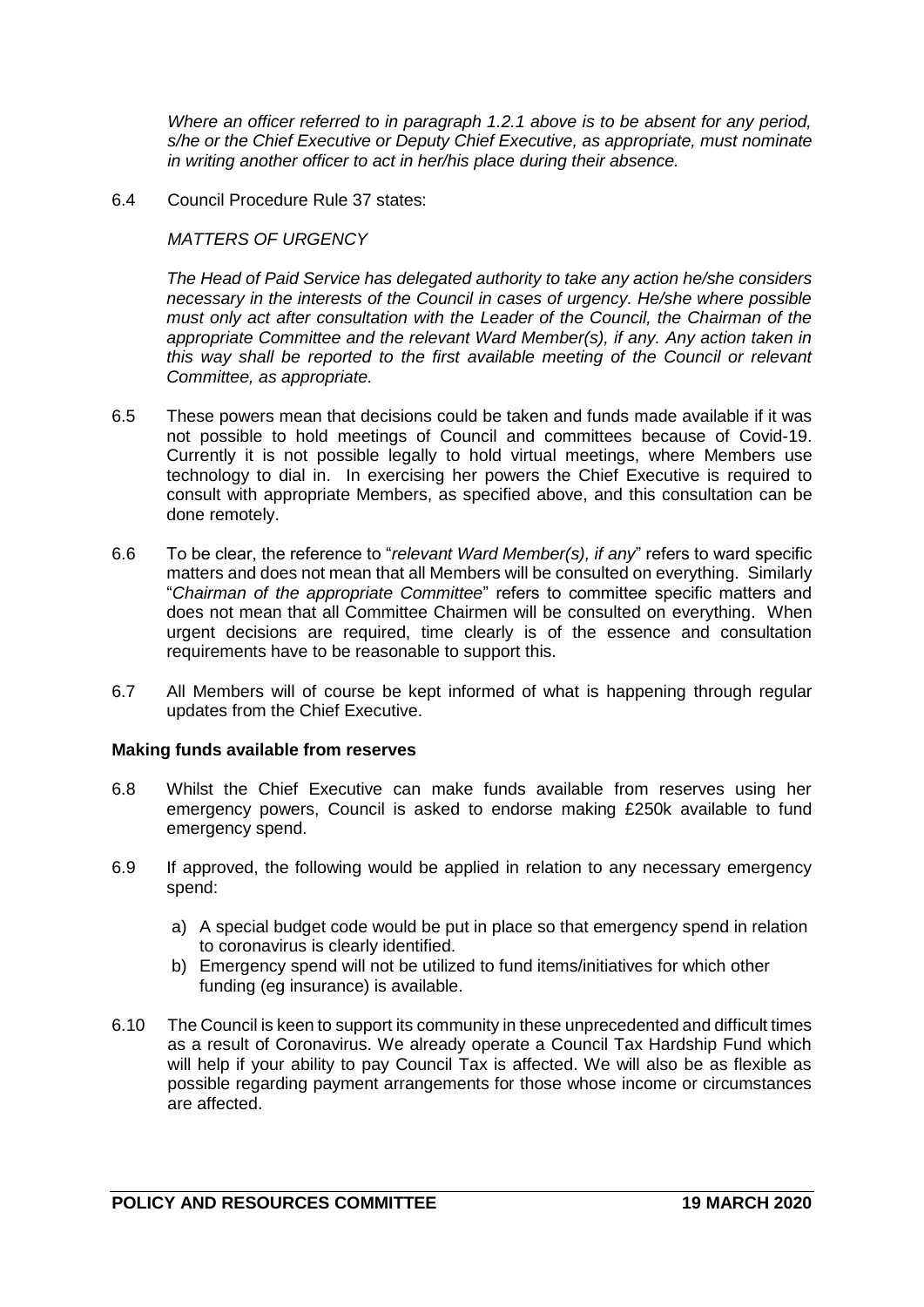*Where an officer referred to in paragraph 1.2.1 above is to be absent for any period, s/he or the Chief Executive or Deputy Chief Executive, as appropriate, must nominate in writing another officer to act in her/his place during their absence.*

6.4 Council Procedure Rule 37 states:

### *MATTERS OF URGENCY*

*The Head of Paid Service has delegated authority to take any action he/she considers necessary in the interests of the Council in cases of urgency. He/she where possible must only act after consultation with the Leader of the Council, the Chairman of the appropriate Committee and the relevant Ward Member(s), if any. Any action taken in this way shall be reported to the first available meeting of the Council or relevant Committee, as appropriate.*

- 6.5 These powers mean that decisions could be taken and funds made available if it was not possible to hold meetings of Council and committees because of Covid-19. Currently it is not possible legally to hold virtual meetings, where Members use technology to dial in. In exercising her powers the Chief Executive is required to consult with appropriate Members, as specified above, and this consultation can be done remotely.
- 6.6 To be clear, the reference to "*relevant Ward Member(s), if any*" refers to ward specific matters and does not mean that all Members will be consulted on everything. Similarly "*Chairman of the appropriate Committee*" refers to committee specific matters and does not mean that all Committee Chairmen will be consulted on everything. When urgent decisions are required, time clearly is of the essence and consultation requirements have to be reasonable to support this.
- 6.7 All Members will of course be kept informed of what is happening through regular updates from the Chief Executive.

### **Making funds available from reserves**

- 6.8 Whilst the Chief Executive can make funds available from reserves using her emergency powers, Council is asked to endorse making £250k available to fund emergency spend.
- 6.9 If approved, the following would be applied in relation to any necessary emergency spend:
	- a) A special budget code would be put in place so that emergency spend in relation to coronavirus is clearly identified.
	- b) Emergency spend will not be utilized to fund items/initiatives for which other funding (eg insurance) is available.
- 6.10 The Council is keen to support its community in these unprecedented and difficult times as a result of Coronavirus. We already operate a Council Tax Hardship Fund which will help if your ability to pay Council Tax is affected. We will also be as flexible as possible regarding payment arrangements for those whose income or circumstances are affected.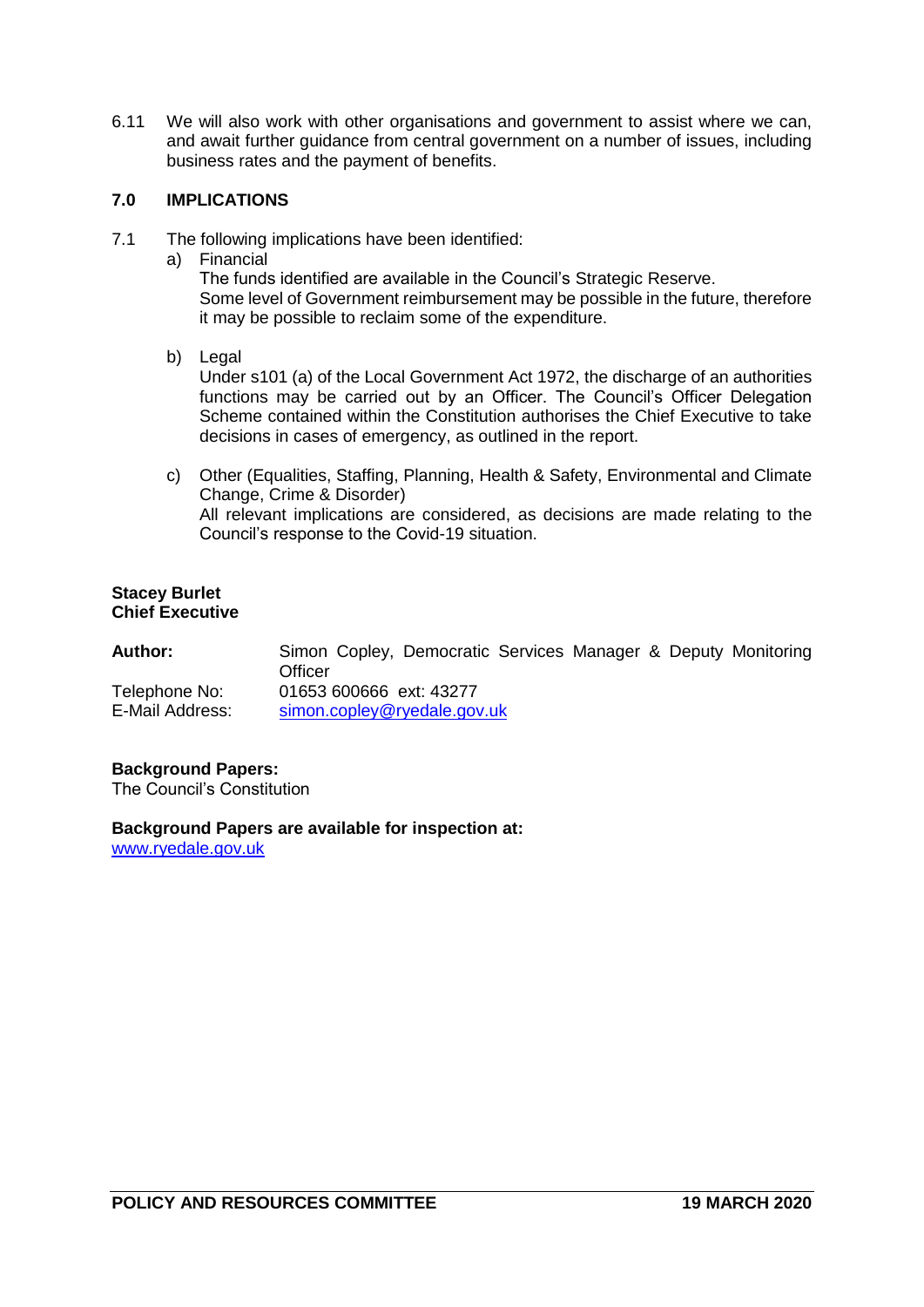6.11 We will also work with other organisations and government to assist where we can, and await further guidance from central government on a number of issues, including business rates and the payment of benefits.

### **7.0 IMPLICATIONS**

- 7.1 The following implications have been identified:
	- a) Financial

The funds identified are available in the Council's Strategic Reserve. Some level of Government reimbursement may be possible in the future, therefore it may be possible to reclaim some of the expenditure.

- b) Legal Under s101 (a) of the Local Government Act 1972, the discharge of an authorities functions may be carried out by an Officer. The Council's Officer Delegation Scheme contained within the Constitution authorises the Chief Executive to take decisions in cases of emergency, as outlined in the report.
- c) Other (Equalities, Staffing, Planning, Health & Safety, Environmental and Climate Change, Crime & Disorder) All relevant implications are considered, as decisions are made relating to the Council's response to the Covid-19 situation.

#### **Stacey Burlet Chief Executive**

| Author:                          | Simon Copley, Democratic Services Manager & Deputy Monitoring<br>Officer |  |  |  |
|----------------------------------|--------------------------------------------------------------------------|--|--|--|
| Telephone No:<br>E-Mail Address: | 01653 600666 ext: 43277<br>simon.copley@ryedale.gov.uk                   |  |  |  |

### **Background Papers:**

The Council's Constitution

**Background Papers are available for inspection at:** [www.ryedale.gov.uk](http://www.ryedale.gov.uk/)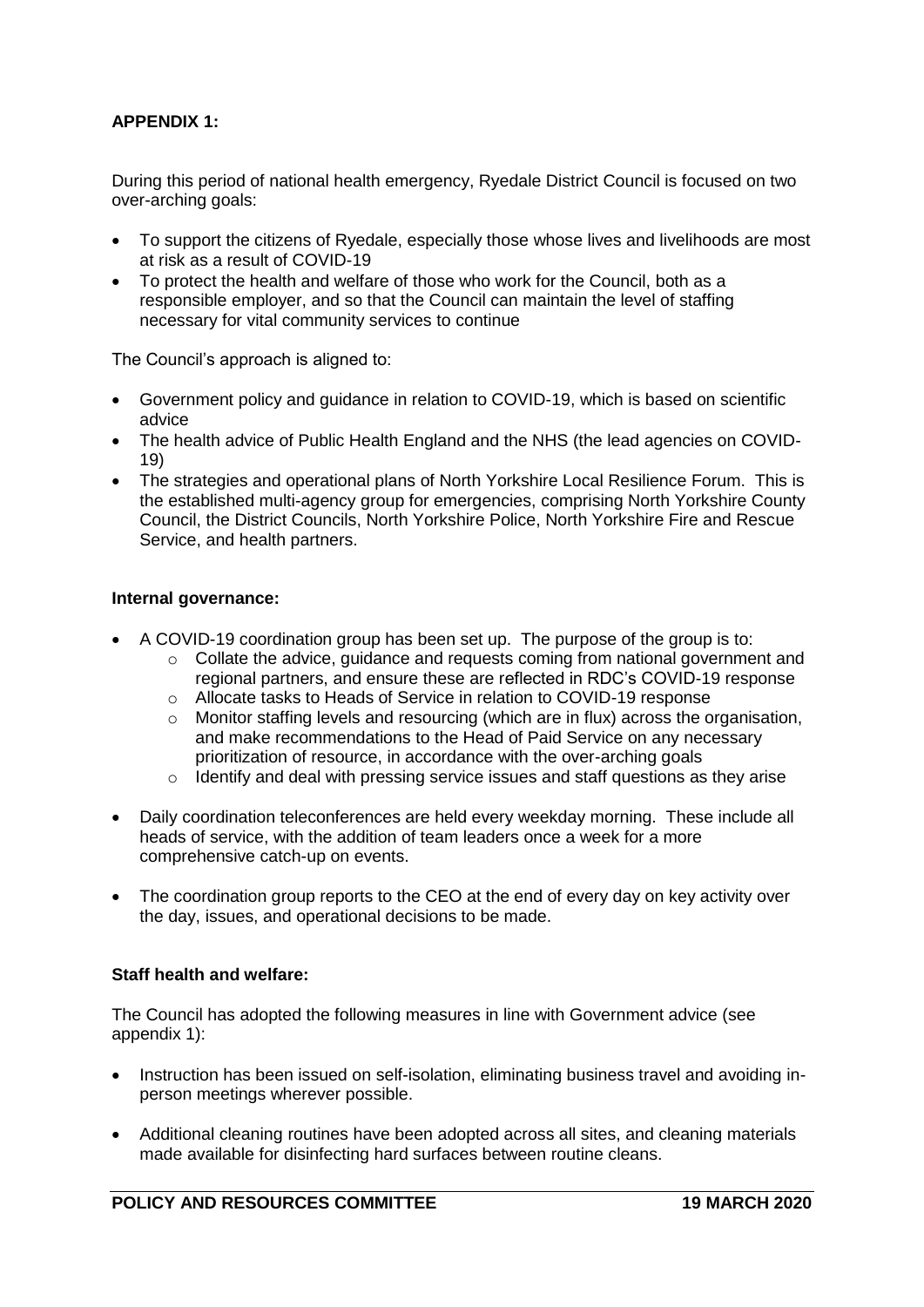# **APPENDIX 1:**

During this period of national health emergency, Ryedale District Council is focused on two over-arching goals:

- To support the citizens of Ryedale, especially those whose lives and livelihoods are most at risk as a result of COVID-19
- To protect the health and welfare of those who work for the Council, both as a responsible employer, and so that the Council can maintain the level of staffing necessary for vital community services to continue

The Council's approach is aligned to:

- Government policy and guidance in relation to COVID-19, which is based on scientific advice
- The health advice of Public Health England and the NHS (the lead agencies on COVID-19)
- The strategies and operational plans of North Yorkshire Local Resilience Forum. This is the established multi-agency group for emergencies, comprising North Yorkshire County Council, the District Councils, North Yorkshire Police, North Yorkshire Fire and Rescue Service, and health partners.

#### **Internal governance:**

- A COVID-19 coordination group has been set up. The purpose of the group is to:
	- $\circ$  Collate the advice, quidance and requests coming from national government and regional partners, and ensure these are reflected in RDC's COVID-19 response
	- o Allocate tasks to Heads of Service in relation to COVID-19 response
	- $\circ$  Monitor staffing levels and resourcing (which are in flux) across the organisation, and make recommendations to the Head of Paid Service on any necessary prioritization of resource, in accordance with the over-arching goals
	- $\circ$  Identify and deal with pressing service issues and staff questions as they arise
- Daily coordination teleconferences are held every weekday morning. These include all heads of service, with the addition of team leaders once a week for a more comprehensive catch-up on events.
- The coordination group reports to the CEO at the end of every day on key activity over the day, issues, and operational decisions to be made.

### **Staff health and welfare:**

The Council has adopted the following measures in line with Government advice (see appendix 1):

- Instruction has been issued on self-isolation, eliminating business travel and avoiding inperson meetings wherever possible.
- Additional cleaning routines have been adopted across all sites, and cleaning materials made available for disinfecting hard surfaces between routine cleans.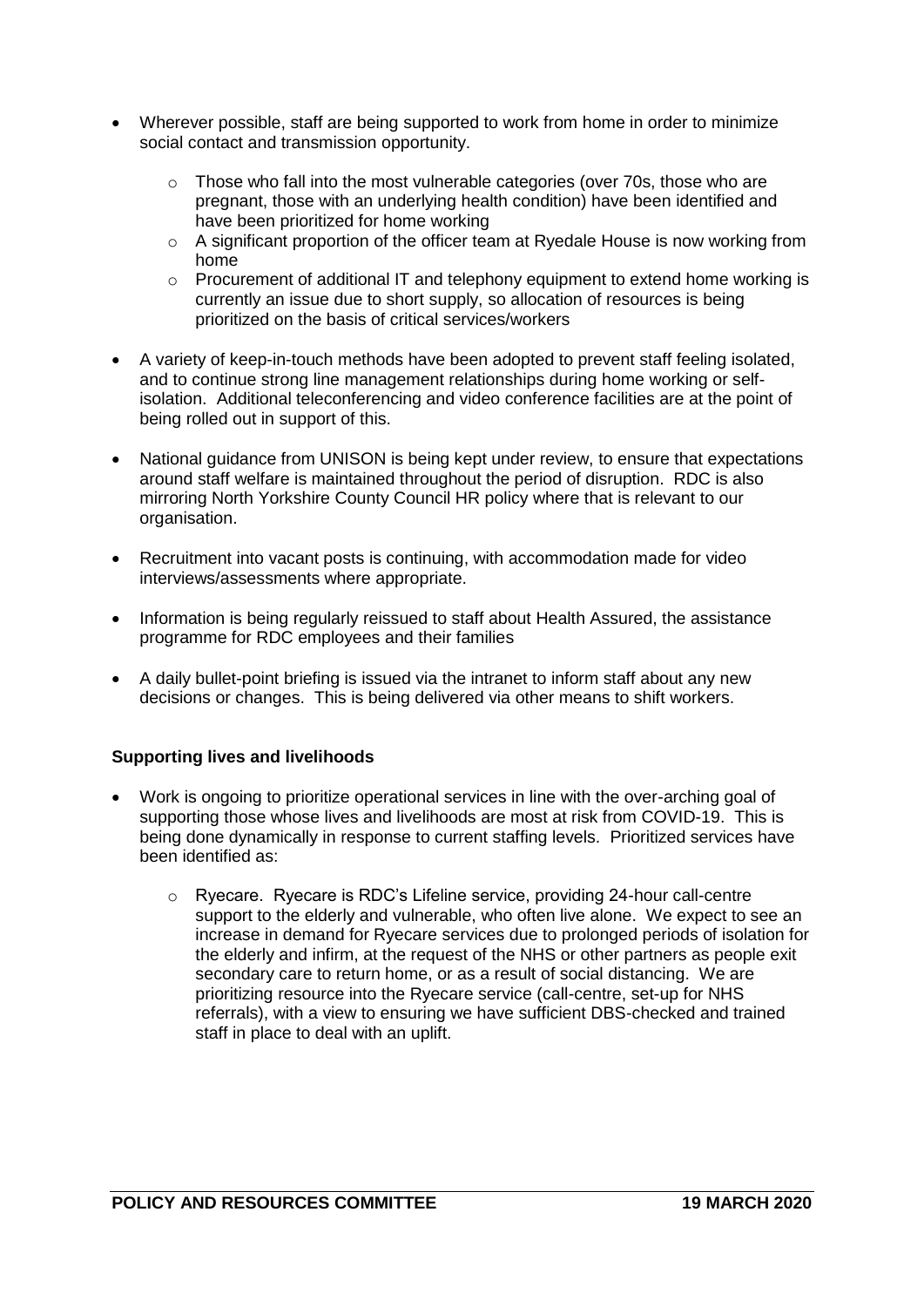- Wherever possible, staff are being supported to work from home in order to minimize social contact and transmission opportunity.
	- $\circ$  Those who fall into the most vulnerable categories (over 70s, those who are pregnant, those with an underlying health condition) have been identified and have been prioritized for home working
	- $\circ$  A significant proportion of the officer team at Ryedale House is now working from home
	- o Procurement of additional IT and telephony equipment to extend home working is currently an issue due to short supply, so allocation of resources is being prioritized on the basis of critical services/workers
- A variety of keep-in-touch methods have been adopted to prevent staff feeling isolated, and to continue strong line management relationships during home working or selfisolation. Additional teleconferencing and video conference facilities are at the point of being rolled out in support of this.
- National guidance from UNISON is being kept under review, to ensure that expectations around staff welfare is maintained throughout the period of disruption. RDC is also mirroring North Yorkshire County Council HR policy where that is relevant to our organisation.
- Recruitment into vacant posts is continuing, with accommodation made for video interviews/assessments where appropriate.
- Information is being regularly reissued to staff about Health Assured, the assistance programme for RDC employees and their families
- A daily bullet-point briefing is issued via the intranet to inform staff about any new decisions or changes. This is being delivered via other means to shift workers.

## **Supporting lives and livelihoods**

- Work is ongoing to prioritize operational services in line with the over-arching goal of supporting those whose lives and livelihoods are most at risk from COVID-19. This is being done dynamically in response to current staffing levels. Prioritized services have been identified as:
	- o Ryecare. Ryecare is RDC's Lifeline service, providing 24-hour call-centre support to the elderly and vulnerable, who often live alone. We expect to see an increase in demand for Ryecare services due to prolonged periods of isolation for the elderly and infirm, at the request of the NHS or other partners as people exit secondary care to return home, or as a result of social distancing. We are prioritizing resource into the Ryecare service (call-centre, set-up for NHS referrals), with a view to ensuring we have sufficient DBS-checked and trained staff in place to deal with an uplift.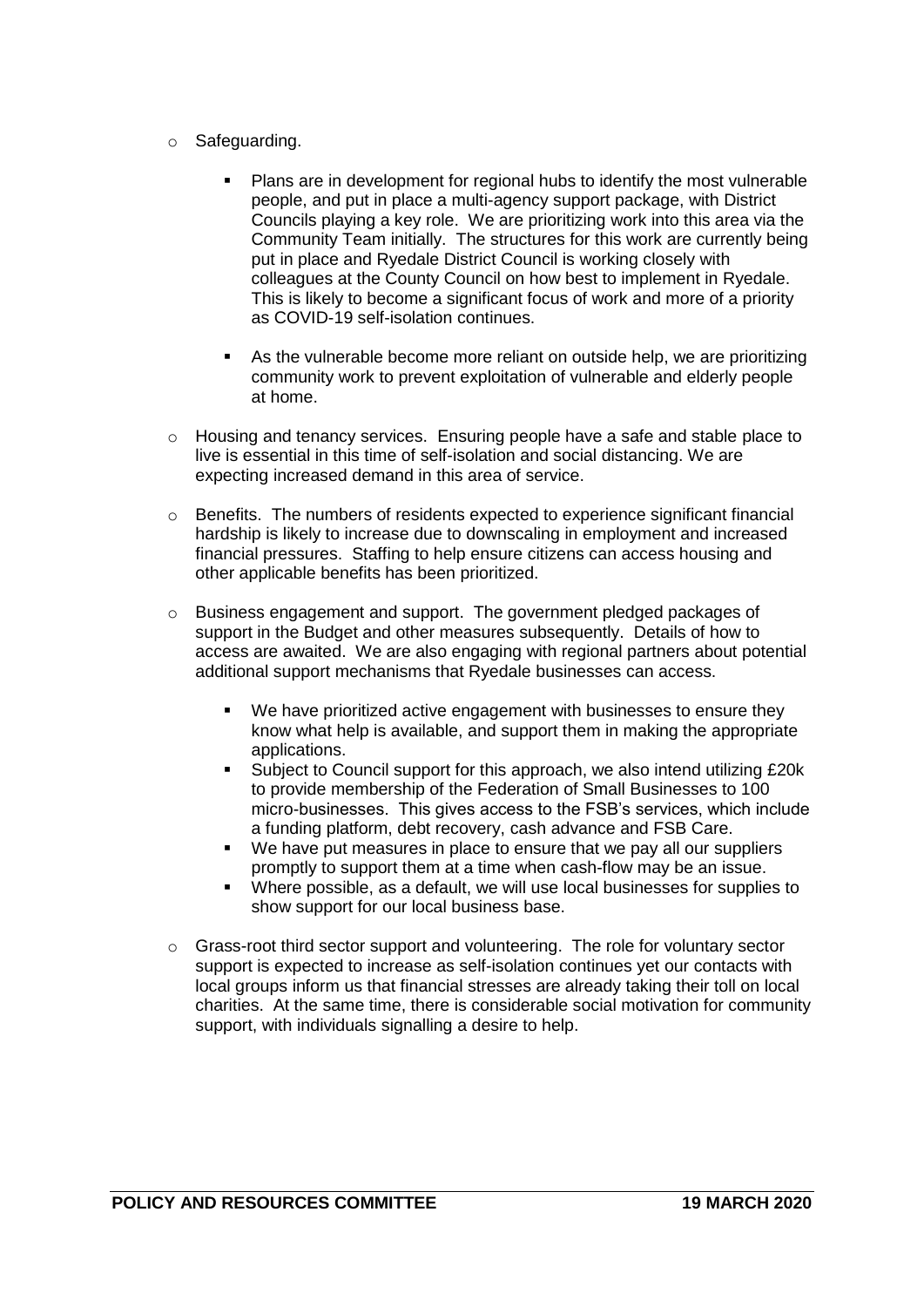- o Safeguarding.
	- Plans are in development for regional hubs to identify the most vulnerable people, and put in place a multi-agency support package, with District Councils playing a key role. We are prioritizing work into this area via the Community Team initially. The structures for this work are currently being put in place and Ryedale District Council is working closely with colleagues at the County Council on how best to implement in Ryedale. This is likely to become a significant focus of work and more of a priority as COVID-19 self-isolation continues.
	- As the vulnerable become more reliant on outside help, we are prioritizing community work to prevent exploitation of vulnerable and elderly people at home.
- o Housing and tenancy services. Ensuring people have a safe and stable place to live is essential in this time of self-isolation and social distancing. We are expecting increased demand in this area of service.
- $\circ$  Benefits. The numbers of residents expected to experience significant financial hardship is likely to increase due to downscaling in employment and increased financial pressures. Staffing to help ensure citizens can access housing and other applicable benefits has been prioritized.
- o Business engagement and support. The government pledged packages of support in the Budget and other measures subsequently. Details of how to access are awaited. We are also engaging with regional partners about potential additional support mechanisms that Ryedale businesses can access.
	- We have prioritized active engagement with businesses to ensure they know what help is available, and support them in making the appropriate applications.
	- Subject to Council support for this approach, we also intend utilizing £20k to provide membership of the Federation of Small Businesses to 100 micro-businesses. This gives access to the FSB's services, which include a funding platform, debt recovery, cash advance and FSB Care.
	- We have put measures in place to ensure that we pay all our suppliers promptly to support them at a time when cash-flow may be an issue.
	- Where possible, as a default, we will use local businesses for supplies to show support for our local business base.
- o Grass-root third sector support and volunteering. The role for voluntary sector support is expected to increase as self-isolation continues yet our contacts with local groups inform us that financial stresses are already taking their toll on local charities. At the same time, there is considerable social motivation for community support, with individuals signalling a desire to help.